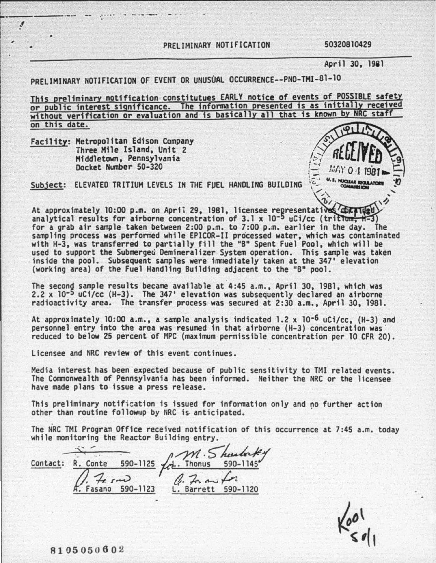PRELIMINARY NOTIFICATION 50320810429

April 30, 1981

PRELIMINARY NOTIFICATION OF EVENT OR UNUSUAL OCCURRENCE--PNO-TMI-81-10

This preliminary notification constitutues EARLY notice of events of POSSIBLE safety or public interest significance. The information presented is as initially received without verification or evaluation and is basically all that is known by NRC staff on this date.

Facility: Metropolitan Edison Company<br>
Three Mile Island, Unit 2 Middletown, Pennsylvania Docket Number 50-320

~------ -·- -- .·····

.f



Subject: ELEVATED TRITIUM LEVELS IN THE FUEL HANDLING BUILDING  $\mathcal{E}$  ... Notice model from

At approximately 10:00 p.m. on April 29, 1981, licensee representatives  $\overline{\text{depth}}$ <br>analytical results for airborne concentration of 3.1 x 10<sup>-5</sup> uCi/cc (tritium,  $\overline{\text{h-3}}$ ) for a grab air sample taken between 2:00 p.m. to 7:00 p.m. earlier in the day. The sampling process was performed while EPICOR-11 processed water, which was contaminated with H-3, was transferred to partially fill the "B" Spent Fuel Pool, which will be used to support the Submerged Demineralizer System operation. This sample was taken inside the pool. Subsequent samples were immediately taken at the 347' elevation (working area) of the Fuel Handling Building adjacent to the "B" pool.

The second sample results became available at 4:45 a.m., April 30, 1981, which was 2.2  $\times$  10<sup>-5</sup> uCi/cc (H-3). The 347' elevation was subsequently declared an airborne radioactivity area. The transfer process was secured at 2:30 a.m., April 30, 1981.

At approximately 10:00 a.m., a sample analysis indicated 1.2 x 10<sup>-6</sup> uCi/cc, (H-3) and<br>personnel entry into the area was resumed in that airborne (H-3) concentration was reduced to below 25 percent of MPC (maximum permissible concentration per 10 CFR 20).

Licensee and NRC review of this event continues.

Media interest has been expected because of public sensitivity to TMI related events. The Commonwealth of Pennsylvania has been informed. Neither the NRC or the licensee have made plans to issue a press release.

This preliminary notification is issued for information only and no further action other than routine followup by NRC is anticipated.

The NRC TMI Program Office received notification of this occurrence at 7:45 a.m. today while monitoring the Reactor Building entry.

 $\frac{1}{\sqrt{M}}$ .  $\frac{1}{5}$  here  $\frac{1}{145}$ <br>Contact: R. Conte 590-1125  $\frac{1}{14}$ . Thonus 590-1145  $\frac{1}{2}$ .  $\frac{1}{2}$  r  $\frac{1}{2}$ <br> $\frac{1}{2}$  Fasano 590-1123 L. Barrett 590-1120